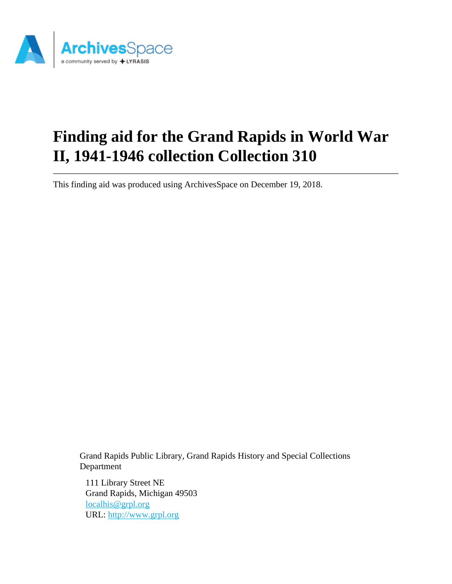

# **Finding aid for the Grand Rapids in World War II, 1941-1946 collection Collection 310**

This finding aid was produced using ArchivesSpace on December 19, 2018.

Grand Rapids Public Library, Grand Rapids History and Special Collections Department

111 Library Street NE Grand Rapids, Michigan 49503 [localhis@grpl.org](mailto:localhis@grpl.org) URL:<http://www.grpl.org>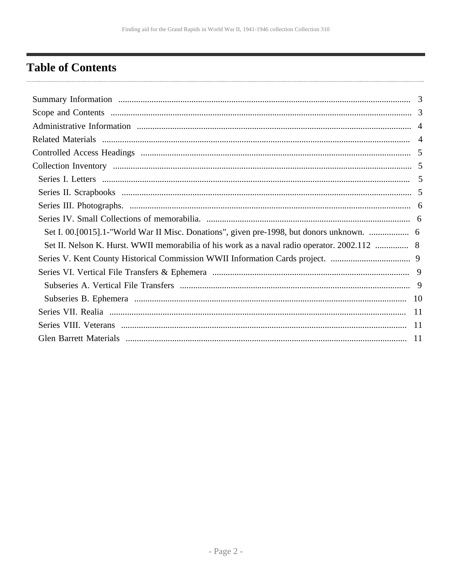# <span id="page-1-0"></span>**Table of Contents**

| Set I. 00.[0015].1-"World War II Misc. Donations", given pre-1998, but donors unknown.    |  |
|-------------------------------------------------------------------------------------------|--|
| Set II. Nelson K. Hurst. WWII memorabilia of his work as a naval radio operator. 2002.112 |  |
|                                                                                           |  |
|                                                                                           |  |
|                                                                                           |  |
|                                                                                           |  |
|                                                                                           |  |
|                                                                                           |  |
|                                                                                           |  |
|                                                                                           |  |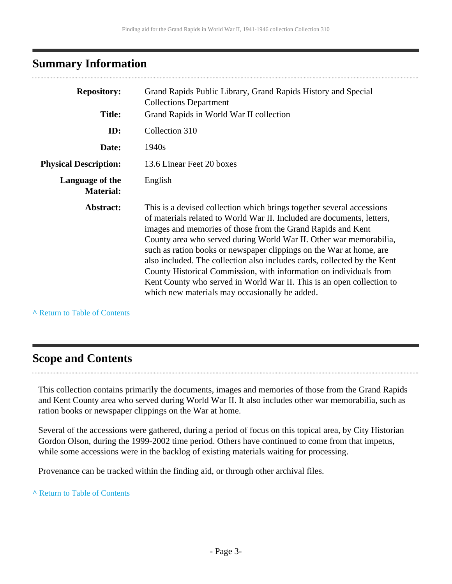# <span id="page-2-0"></span>**Summary Information**

| <b>Repository:</b>                  | Grand Rapids Public Library, Grand Rapids History and Special<br><b>Collections Department</b>                                                                                                                                                                                                                                                                                                                                                                                                                                                                                                                                           |
|-------------------------------------|------------------------------------------------------------------------------------------------------------------------------------------------------------------------------------------------------------------------------------------------------------------------------------------------------------------------------------------------------------------------------------------------------------------------------------------------------------------------------------------------------------------------------------------------------------------------------------------------------------------------------------------|
| <b>Title:</b>                       | Grand Rapids in World War II collection                                                                                                                                                                                                                                                                                                                                                                                                                                                                                                                                                                                                  |
| ID:                                 | Collection 310                                                                                                                                                                                                                                                                                                                                                                                                                                                                                                                                                                                                                           |
| Date:                               | 1940 <sub>s</sub>                                                                                                                                                                                                                                                                                                                                                                                                                                                                                                                                                                                                                        |
| <b>Physical Description:</b>        | 13.6 Linear Feet 20 boxes                                                                                                                                                                                                                                                                                                                                                                                                                                                                                                                                                                                                                |
| Language of the<br><b>Material:</b> | English                                                                                                                                                                                                                                                                                                                                                                                                                                                                                                                                                                                                                                  |
| Abstract:                           | This is a devised collection which brings together several accessions<br>of materials related to World War II. Included are documents, letters,<br>images and memories of those from the Grand Rapids and Kent<br>County area who served during World War II. Other war memorabilia,<br>such as ration books or newspaper clippings on the War at home, are<br>also included. The collection also includes cards, collected by the Kent<br>County Historical Commission, with information on individuals from<br>Kent County who served in World War II. This is an open collection to<br>which new materials may occasionally be added. |

**^** [Return to Table of Contents](#page-1-0)

# <span id="page-2-1"></span>**Scope and Contents**

This collection contains primarily the documents, images and memories of those from the Grand Rapids and Kent County area who served during World War II. It also includes other war memorabilia, such as ration books or newspaper clippings on the War at home.

Several of the accessions were gathered, during a period of focus on this topical area, by City Historian Gordon Olson, during the 1999-2002 time period. Others have continued to come from that impetus, while some accessions were in the backlog of existing materials waiting for processing.

Provenance can be tracked within the finding aid, or through other archival files.

#### **^** [Return to Table of Contents](#page-1-0)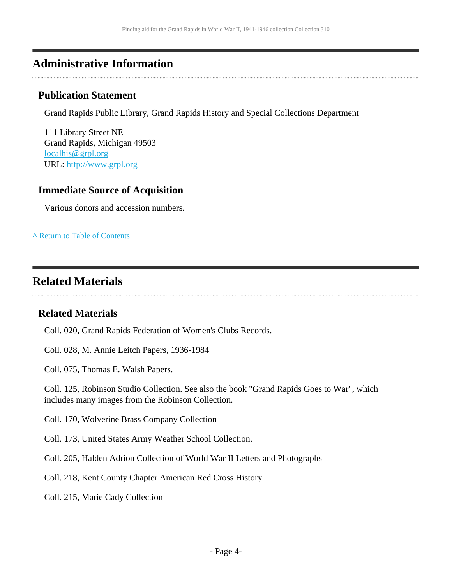# <span id="page-3-0"></span>**Administrative Information**

### **Publication Statement**

Grand Rapids Public Library, Grand Rapids History and Special Collections Department

111 Library Street NE Grand Rapids, Michigan 49503 [localhis@grpl.org](mailto:localhis@grpl.org) URL:<http://www.grpl.org>

### **Immediate Source of Acquisition**

Various donors and accession numbers.

**^** [Return to Table of Contents](#page-1-0)

# <span id="page-3-1"></span>**Related Materials**

### **Related Materials**

Coll. 020, Grand Rapids Federation of Women's Clubs Records.

Coll. 028, M. Annie Leitch Papers, 1936-1984

Coll. 075, Thomas E. Walsh Papers.

Coll. 125, Robinson Studio Collection. See also the book "Grand Rapids Goes to War", which includes many images from the Robinson Collection.

Coll. 170, Wolverine Brass Company Collection

Coll. 173, United States Army Weather School Collection.

Coll. 205, Halden Adrion Collection of World War II Letters and Photographs

Coll. 218, Kent County Chapter American Red Cross History

Coll. 215, Marie Cady Collection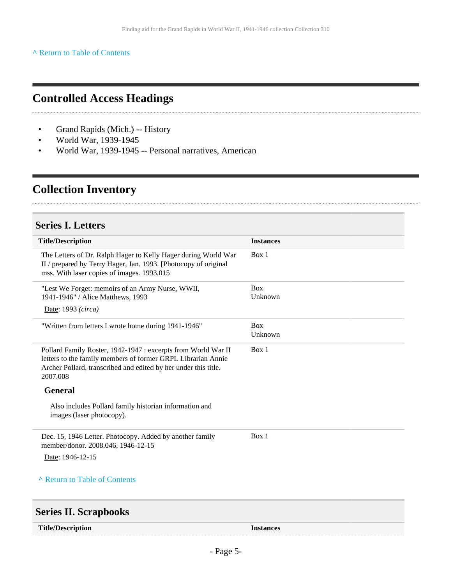#### **^** [Return to Table of Contents](#page-1-0)

# <span id="page-4-0"></span>**Controlled Access Headings**

- Grand Rapids (Mich.) -- History
- World War, 1939-1945
- World War, 1939-1945 -- Personal narratives, American

# <span id="page-4-1"></span>**Collection Inventory**

## <span id="page-4-2"></span>**Series I. Letters**

| <b>Title/Description</b>                                                                                                                                                                                     | <b>Instances</b>      |
|--------------------------------------------------------------------------------------------------------------------------------------------------------------------------------------------------------------|-----------------------|
| The Letters of Dr. Ralph Hager to Kelly Hager during World War<br>II / prepared by Terry Hager, Jan. 1993. [Photocopy of original<br>mss. With laser copies of images. 1993.015                              | Box 1                 |
| "Lest We Forget: memoirs of an Army Nurse, WWII,<br>1941-1946" / Alice Matthews, 1993<br>Date: 1993 (circa)                                                                                                  | <b>Box</b><br>Unknown |
| "Written from letters I wrote home during 1941-1946"                                                                                                                                                         | <b>Box</b><br>Unknown |
| Pollard Family Roster, 1942-1947 : excerpts from World War II<br>letters to the family members of former GRPL Librarian Annie<br>Archer Pollard, transcribed and edited by her under this title.<br>2007.008 | Box 1                 |
| <b>General</b>                                                                                                                                                                                               |                       |
| Also includes Pollard family historian information and<br>images (laser photocopy).                                                                                                                          |                       |
| Dec. 15, 1946 Letter. Photocopy. Added by another family<br>member/donor. 2008.046, 1946-12-15                                                                                                               | Box 1                 |
| Date: 1946-12-15                                                                                                                                                                                             |                       |
| A Return to Table of Contents                                                                                                                                                                                |                       |
| <b>Series II. Scrapbooks</b>                                                                                                                                                                                 |                       |

<span id="page-4-3"></span>

| <b>Title/Description</b> | <i><u><b>Instances</b></u></i> |
|--------------------------|--------------------------------|
|                          |                                |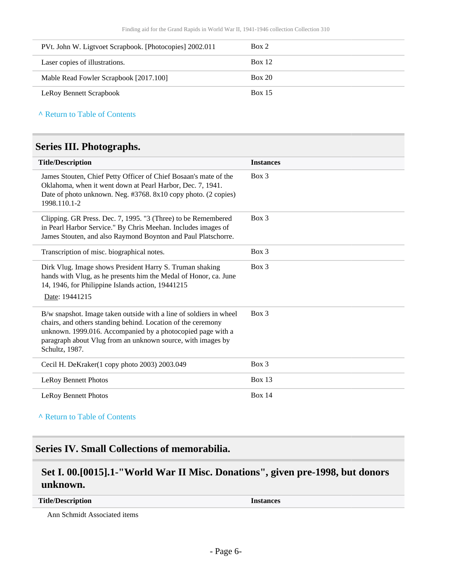| PVt. John W. Ligtvoet Scrapbook. [Photocopies] 2002.011 | Box 2         |
|---------------------------------------------------------|---------------|
| Laser copies of illustrations.                          | Box 12        |
| Mable Read Fowler Scrapbook [2017.100]                  | Box 20        |
| <b>LeRoy Bennett Scrapbook</b>                          | <b>Box 15</b> |

**^** [Return to Table of Contents](#page-1-0)

### <span id="page-5-0"></span>**Series III. Photographs.**

| <b>Title/Description</b>                                                                                                                                                                                                                                                           | <b>Instances</b> |
|------------------------------------------------------------------------------------------------------------------------------------------------------------------------------------------------------------------------------------------------------------------------------------|------------------|
| James Stouten, Chief Petty Officer of Chief Bosaan's mate of the<br>Oklahoma, when it went down at Pearl Harbor, Dec. 7, 1941.<br>Date of photo unknown. Neg. #3768. 8x10 copy photo. (2 copies)<br>1998.110.1-2                                                                   | $Box$ 3          |
| Clipping. GR Press. Dec. 7, 1995. "3 (Three) to be Remembered<br>in Pearl Harbor Service." By Chris Meehan. Includes images of<br>James Stouten, and also Raymond Boynton and Paul Platschorre.                                                                                    | $Box$ 3          |
| Transcription of misc. biographical notes.                                                                                                                                                                                                                                         | Box 3            |
| Dirk Vlug. Image shows President Harry S. Truman shaking<br>hands with Vlug, as he presents him the Medal of Honor, ca. June<br>14, 1946, for Philippine Islands action, 19441215<br>Date: 19441215                                                                                | $Box$ 3          |
| B/w snapshot. Image taken outside with a line of soldiers in wheel<br>chairs, and others standing behind. Location of the ceremony<br>unknown. 1999.016. Accompanied by a photocopied page with a<br>paragraph about Vlug from an unknown source, with images by<br>Schultz, 1987. | $Box$ 3          |
| Cecil H. DeKraker(1 copy photo 2003) 2003.049                                                                                                                                                                                                                                      | $Box$ 3          |
| <b>LeRoy Bennett Photos</b>                                                                                                                                                                                                                                                        | Box $13$         |
| <b>LeRoy Bennett Photos</b>                                                                                                                                                                                                                                                        | <b>Box 14</b>    |

**^** [Return to Table of Contents](#page-1-0)

## <span id="page-5-1"></span>**Series IV. Small Collections of memorabilia.**

# <span id="page-5-2"></span>**Set I. 00.[0015].1-"World War II Misc. Donations", given pre-1998, but donors unknown.**

**Title/Description Instances**

Ann Schmidt Associated items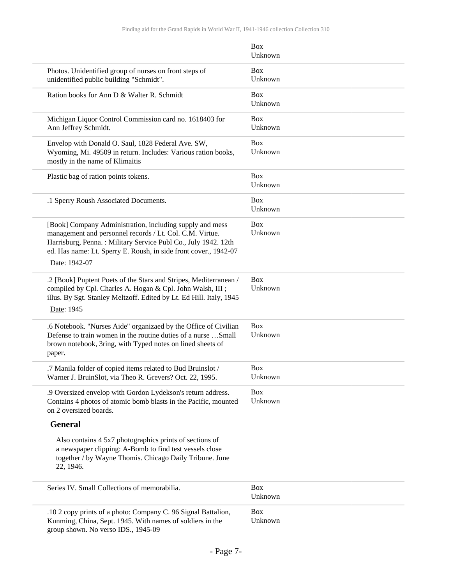|                                                                                                                                                                                                                                                                             | <b>Box</b><br>Unknown |
|-----------------------------------------------------------------------------------------------------------------------------------------------------------------------------------------------------------------------------------------------------------------------------|-----------------------|
| Photos. Unidentified group of nurses on front steps of<br>unidentified public building "Schmidt".                                                                                                                                                                           | <b>Box</b><br>Unknown |
| Ration books for Ann D & Walter R. Schmidt                                                                                                                                                                                                                                  | <b>Box</b><br>Unknown |
| Michigan Liquor Control Commission card no. 1618403 for<br>Ann Jeffrey Schmidt.                                                                                                                                                                                             | <b>Box</b><br>Unknown |
| Envelop with Donald O. Saul, 1828 Federal Ave. SW,<br>Wyoming, Mi. 49509 in return. Includes: Various ration books,<br>mostly in the name of Klimaitis                                                                                                                      | <b>Box</b><br>Unknown |
| Plastic bag of ration points tokens.                                                                                                                                                                                                                                        | <b>Box</b><br>Unknown |
| .1 Sperry Roush Associated Documents.                                                                                                                                                                                                                                       | <b>Box</b><br>Unknown |
| [Book] Company Administration, including supply and mess<br>management and personnel records / Lt. Col. C.M. Virtue.<br>Harrisburg, Penna.: Military Service Publ Co., July 1942. 12th<br>ed. Has name: Lt. Sperry E. Roush, in side front cover., 1942-07<br>Date: 1942-07 | Box<br>Unknown        |
| .2 [Book] Puptent Poets of the Stars and Stripes, Mediterranean /<br>compiled by Cpl. Charles A. Hogan & Cpl. John Walsh, III ;<br>illus. By Sgt. Stanley Meltzoff. Edited by Lt. Ed Hill. Italy, 1945<br>Date: 1945                                                        | <b>Box</b><br>Unknown |
| .6 Notebook. "Nurses Aide" organizaed by the Office of Civilian<br>Defense to train women in the routine duties of a nurse  Small<br>brown notebook, 3ring, with Typed notes on lined sheets of<br>paper.                                                                   | <b>Box</b><br>Unknown |
| .7 Manila folder of copied items related to Bud Bruinslot /<br>Warner J. BruinSlot, via Theo R. Grevers? Oct. 22, 1995.                                                                                                                                                     | <b>Box</b><br>Unknown |
| .9 Oversized envelop with Gordon Lydekson's return address.<br>Contains 4 photos of atomic bomb blasts in the Pacific, mounted<br>on 2 oversized boards.                                                                                                                    | <b>Box</b><br>Unknown |
| <b>General</b>                                                                                                                                                                                                                                                              |                       |
| Also contains 4 5x7 photographics prints of sections of<br>a newspaper clipping: A-Bomb to find test vessels close<br>together / by Wayne Thomis. Chicago Daily Tribune. June<br>22, 1946.                                                                                  |                       |
| Series IV. Small Collections of memorabilia.                                                                                                                                                                                                                                | <b>Box</b><br>Unknown |
| .10 2 copy prints of a photo: Company C. 96 Signal Battalion,<br>Kunming, China, Sept. 1945. With names of soldiers in the<br>group shown. No verso IDS., 1945-09                                                                                                           | Box<br>Unknown        |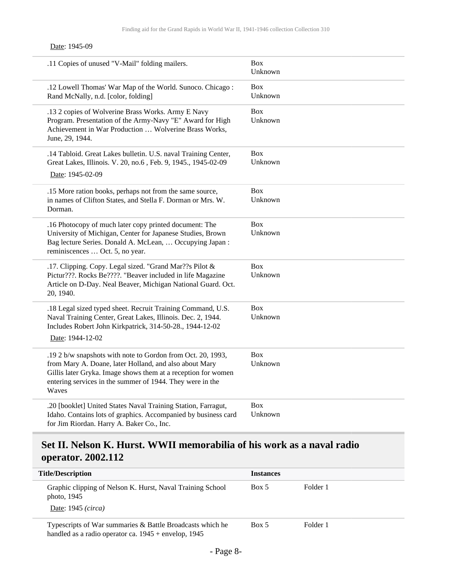#### Date: 1945-09

| .11 Copies of unused "V-Mail" folding mailers.                                                                                                                                                                                                              | <b>Box</b><br>Unknown |
|-------------------------------------------------------------------------------------------------------------------------------------------------------------------------------------------------------------------------------------------------------------|-----------------------|
| .12 Lowell Thomas' War Map of the World. Sunoco. Chicago:<br>Rand McNally, n.d. [color, folding]                                                                                                                                                            | <b>Box</b><br>Unknown |
| .13 2 copies of Wolverine Brass Works. Army E Navy<br>Program. Presentation of the Army-Navy "E" Award for High<br>Achievement in War Production  Wolverine Brass Works,<br>June, 29, 1944.                                                                 | <b>Box</b><br>Unknown |
| .14 Tabloid. Great Lakes bulletin. U.S. naval Training Center,<br>Great Lakes, Illinois. V. 20, no.6, Feb. 9, 1945., 1945-02-09<br>Date: 1945-02-09                                                                                                         | <b>Box</b><br>Unknown |
| .15 More ration books, perhaps not from the same source,<br>in names of Clifton States, and Stella F. Dorman or Mrs. W.<br>Dorman.                                                                                                                          | <b>Box</b><br>Unknown |
| .16 Photocopy of much later copy printed document: The<br>University of Michigan, Center for Japanese Studies, Brown<br>Bag lecture Series. Donald A. McLean,  Occupying Japan:<br>reminiscences  Oct. 5, no year.                                          | <b>Box</b><br>Unknown |
| .17. Clipping. Copy. Legal sized. "Grand Mar??s Pilot &<br>Pictur???. Rocks Be????. "Beaver included in life Magazine<br>Article on D-Day. Neal Beaver, Michigan National Guard. Oct.<br>20, 1940.                                                          | <b>Box</b><br>Unknown |
| .18 Legal sized typed sheet. Recruit Training Command, U.S.<br>Naval Training Center, Great Lakes, Illinois. Dec. 2, 1944.<br>Includes Robert John Kirkpatrick, 314-50-28., 1944-12-02<br>Date: 1944-12-02                                                  | <b>Box</b><br>Unknown |
| .192 b/w snapshots with note to Gordon from Oct. 20, 1993,<br>from Mary A. Doane, later Holland, and also about Mary<br>Gillis later Gryka. Image shows them at a reception for women<br>entering services in the summer of 1944. They were in the<br>Waves | <b>Box</b><br>Unknown |
| .20 [booklet] United States Naval Training Station, Farragut,<br>Idaho. Contains lots of graphics. Accompanied by business card<br>for Jim Riordan. Harry A. Baker Co., Inc.                                                                                | <b>Box</b><br>Unknown |

# <span id="page-7-0"></span>**Set II. Nelson K. Hurst. WWII memorabilia of his work as a naval radio operator. 2002.112**

| <b>Title/Description</b>                                                                                            | <b>Instances</b> |          |
|---------------------------------------------------------------------------------------------------------------------|------------------|----------|
| Graphic clipping of Nelson K. Hurst, Naval Training School<br>photo, $1945$<br>Date: 1945 (circa)                   | Box 5            | Folder 1 |
| Typescripts of War summaries & Battle Broadcasts which he<br>handled as a radio operator ca. $1945 +$ envelop, 1945 | Box 5            | Folder 1 |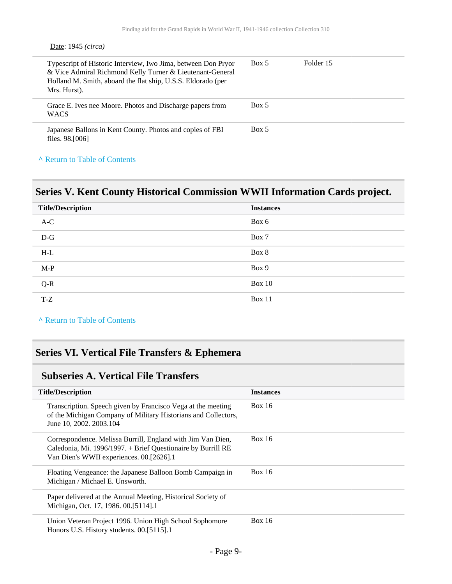#### Date: 1945 *(circa)*

| Typescript of Historic Interview, Iwo Jima, between Don Pryor<br>& Vice Admiral Richmond Kelly Turner & Lieutenant-General<br>Holland M. Smith, aboard the flat ship, U.S.S. Eldorado (per<br>Mrs. Hurst). | Box 5 | Folder 15 |  |
|------------------------------------------------------------------------------------------------------------------------------------------------------------------------------------------------------------|-------|-----------|--|
| Grace E. Ives nee Moore. Photos and Discharge papers from<br><b>WACS</b>                                                                                                                                   | Box 5 |           |  |
| Japanese Ballons in Kent County. Photos and copies of FBI<br>files. 98. [006]                                                                                                                              | Box 5 |           |  |

### **^** [Return to Table of Contents](#page-1-0)

## <span id="page-8-0"></span>**Series V. Kent County Historical Commission WWII Information Cards project.**

| <b>Title/Description</b>   | <b>Instances</b> |
|----------------------------|------------------|
| $A-C$<br><b>STATISTICS</b> | Box 6            |
| $D-G$                      | Box 7            |
| $H-L$                      | Box 8            |
| $M-P$                      | Box 9            |
| $Q-R$                      | <b>Box 10</b>    |
| T-Z                        | Box 11           |

**^** [Return to Table of Contents](#page-1-0)

# <span id="page-8-1"></span>**Series VI. Vertical File Transfers & Ephemera**

### <span id="page-8-2"></span>**Subseries A. Vertical File Transfers**

| <b>Title/Description</b>                                                                                                                                                | <b>Instances</b> |
|-------------------------------------------------------------------------------------------------------------------------------------------------------------------------|------------------|
| Transcription. Speech given by Francisco Vega at the meeting<br>of the Michigan Company of Military Historians and Collectors,<br>June 10, 2002. 2003.104               | <b>Box 16</b>    |
| Correspondence. Melissa Burrill, England with Jim Van Dien,<br>Caledonia, Mi. 1996/1997. + Brief Questionaire by Burrill RE<br>Van Dien's WWII experiences. 00.[2626].1 | <b>Box 16</b>    |
| Floating Vengeance: the Japanese Balloon Bomb Campaign in<br>Michigan / Michael E. Unsworth.                                                                            | Box $16$         |
| Paper delivered at the Annual Meeting, Historical Society of<br>Michigan, Oct. 17, 1986. 00.[5114].1                                                                    |                  |
| Union Veteran Project 1996. Union High School Sophomore<br>Honors U.S. History students. 00.[5115].1                                                                    | <b>Box 16</b>    |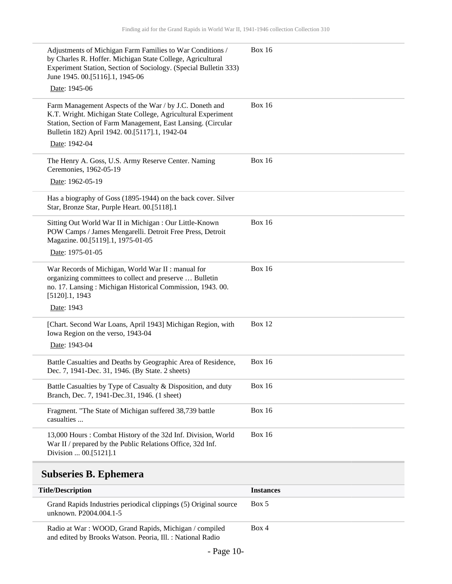| Adjustments of Michigan Farm Families to War Conditions /<br>by Charles R. Hoffer. Michigan State College, Agricultural<br>Experiment Station, Section of Sociology. (Special Bulletin 333)<br>June 1945. 00.[5116].1, 1945-06<br>Date: 1945-06 | <b>Box 16</b> |
|-------------------------------------------------------------------------------------------------------------------------------------------------------------------------------------------------------------------------------------------------|---------------|
|                                                                                                                                                                                                                                                 |               |
| Farm Management Aspects of the War / by J.C. Doneth and<br>K.T. Wright. Michigan State College, Agricultural Experiment<br>Station, Section of Farm Management, East Lansing. (Circular<br>Bulletin 182) April 1942. 00.[5117].1, 1942-04       | <b>Box 16</b> |
| Date: 1942-04                                                                                                                                                                                                                                   |               |
| The Henry A. Goss, U.S. Army Reserve Center. Naming<br>Ceremonies, 1962-05-19                                                                                                                                                                   | <b>Box 16</b> |
| Date: 1962-05-19                                                                                                                                                                                                                                |               |
| Has a biography of Goss (1895-1944) on the back cover. Silver<br>Star, Bronze Star, Purple Heart. 00.[5118].1                                                                                                                                   |               |
| Sitting Out World War II in Michigan : Our Little-Known<br>POW Camps / James Mengarelli. Detroit Free Press, Detroit<br>Magazine. 00.[5119].1, 1975-01-05                                                                                       | <b>Box 16</b> |
| Date: 1975-01-05                                                                                                                                                                                                                                |               |
| War Records of Michigan, World War II : manual for<br>organizing committees to collect and preserve  Bulletin<br>no. 17. Lansing: Michigan Historical Commission, 1943. 00.<br>$[5120]$ .1, 1943                                                | <b>Box 16</b> |
| Date: 1943                                                                                                                                                                                                                                      |               |
| [Chart. Second War Loans, April 1943] Michigan Region, with<br>Iowa Region on the verso, 1943-04<br>Date: 1943-04                                                                                                                               | Box 12        |
|                                                                                                                                                                                                                                                 |               |
| Battle Casualties and Deaths by Geographic Area of Residence,<br>Dec. 7, 1941-Dec. 31, 1946. (By State. 2 sheets)                                                                                                                               | <b>Box 16</b> |
| Battle Casualties by Type of Casualty & Disposition, and duty<br>Branch, Dec. 7, 1941-Dec. 31, 1946. (1 sheet)                                                                                                                                  | <b>Box 16</b> |
| Fragment. "The State of Michigan suffered 38,739 battle<br>casualties                                                                                                                                                                           | <b>Box 16</b> |
| 13,000 Hours: Combat History of the 32d Inf. Division, World<br>War II / prepared by the Public Relations Office, 32d Inf.<br>Division  00.[5121].1                                                                                             | <b>Box 16</b> |
| <b>Subseries B. Ephemera</b>                                                                                                                                                                                                                    |               |
|                                                                                                                                                                                                                                                 |               |

<span id="page-9-0"></span>

| <b>Title/Description</b>                                                                                           | <b>Instances</b> |
|--------------------------------------------------------------------------------------------------------------------|------------------|
| Grand Rapids Industries periodical clippings (5) Original source<br>unknown. P2004.004.1-5                         | Box 5            |
| Radio at War: WOOD, Grand Rapids, Michigan / compiled<br>and edited by Brooks Watson. Peoria, Ill.: National Radio | Box 4            |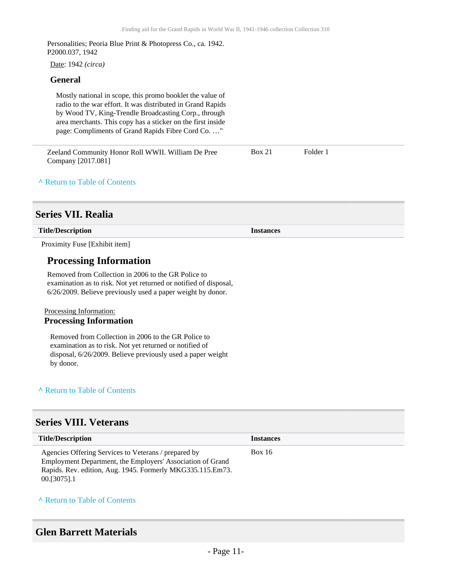Personalities; Peoria Blue Print & Photopress Co., ca. 1942. P2000.037, 1942

Date: 1942 *(circa)*

#### **General**

Mostly national in scope, this promo booklet the value of radio to the war effort. It was distributed in Grand Rapids by Wood TV, King-Trendle Broadcasting Corp., through area merchants. This copy has a sticker on the first inside page: Compliments of Grand Rapids Fibre Cord Co. …"

| Zeeland Community Honor Roll WWII. William De Pree | <b>Box 21</b> | Folder 1 |
|----------------------------------------------------|---------------|----------|
| Company [2017.081]                                 |               |          |

#### **^** [Return to Table of Contents](#page-1-0)

### <span id="page-10-0"></span>**Series VII. Realia**

| Title/Description | <b>Instances</b> |  |
|-------------------|------------------|--|
|-------------------|------------------|--|

Proximity Fuse [Exhibit item]

### **Processing Information**

Removed from Collection in 2006 to the GR Police to examination as to risk. Not yet returned or notified of disposal, 6/26/2009. Believe previously used a paper weight by donor.

#### Processing Information:

#### **Processing Information**

Removed from Collection in 2006 to the GR Police to examination as to risk. Not yet returned or notified of disposal, 6/26/2009. Believe previously used a paper weight by donor.

#### **^** [Return to Table of Contents](#page-1-0)

### <span id="page-10-1"></span>**Series VIII. Veterans**

| <b>Title/Description</b>                                                                                                                                                                          | <b>Instances</b> |
|---------------------------------------------------------------------------------------------------------------------------------------------------------------------------------------------------|------------------|
| Agencies Offering Services to Veterans / prepared by<br>Employment Department, the Employers' Association of Grand<br>Rapids. Rev. edition, Aug. 1945. Formerly MKG335.115.Em73.<br>$00.5075$ ].1 | <b>Box 16</b>    |

#### **^** [Return to Table of Contents](#page-1-0)

### <span id="page-10-2"></span>**Glen Barrett Materials**